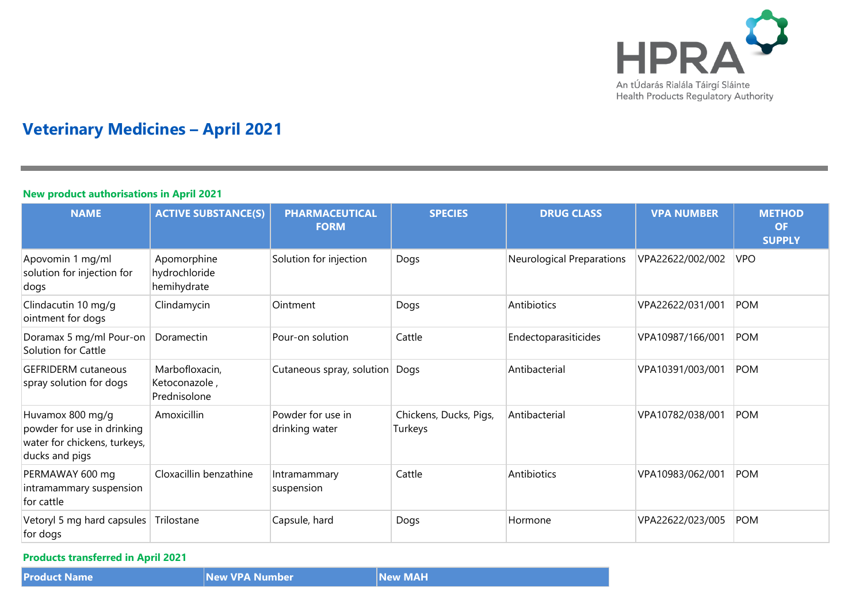

# **Veterinary Medicines – April 2021**

## **New product authorisations in April 2021**

| <b>NAME</b>                                                                                      | <b>ACTIVE SUBSTANCE(S)</b>                      | <b>PHARMACEUTICAL</b><br><b>FORM</b> | <b>SPECIES</b>                    | <b>DRUG CLASS</b>         | <b>VPA NUMBER</b> | <b>METHOD</b><br><b>OF</b><br><b>SUPPLY</b> |
|--------------------------------------------------------------------------------------------------|-------------------------------------------------|--------------------------------------|-----------------------------------|---------------------------|-------------------|---------------------------------------------|
| Apovomin 1 mg/ml<br>solution for injection for<br>dogs                                           | Apomorphine<br>hydrochloride<br>hemihydrate     | Solution for injection               | Dogs                              | Neurological Preparations | VPA22622/002/002  | <b>VPO</b>                                  |
| Clindacutin 10 mg/g<br>ointment for dogs                                                         | Clindamycin                                     | Ointment                             | Dogs                              | Antibiotics               | VPA22622/031/001  | <b>POM</b>                                  |
| Doramax 5 mg/ml Pour-on<br>Solution for Cattle                                                   | Doramectin                                      | Pour-on solution                     | Cattle                            | Endectoparasiticides      | VPA10987/166/001  | <b>POM</b>                                  |
| <b>GEFRIDERM</b> cutaneous<br>spray solution for dogs                                            | Marbofloxacin,<br>Ketoconazole,<br>Prednisolone | Cutaneous spray, solution            | Dogs                              | Antibacterial             | VPA10391/003/001  | POM                                         |
| Huvamox 800 mg/g<br>powder for use in drinking<br>water for chickens, turkeys,<br>ducks and pigs | Amoxicillin                                     | Powder for use in<br>drinking water  | Chickens, Ducks, Pigs,<br>Turkeys | Antibacterial             | VPA10782/038/001  | <b>POM</b>                                  |
| PERMAWAY 600 mg<br>intramammary suspension<br>for cattle                                         | Cloxacillin benzathine                          | Intramammary<br>suspension           | Cattle                            | Antibiotics               | VPA10983/062/001  | <b>POM</b>                                  |
| Vetoryl 5 mg hard capsules<br>for dogs                                                           | Trilostane                                      | Capsule, hard                        | Dogs                              | Hormone                   | VPA22622/023/005  | <b>POM</b>                                  |

**Products transferred in April 2021**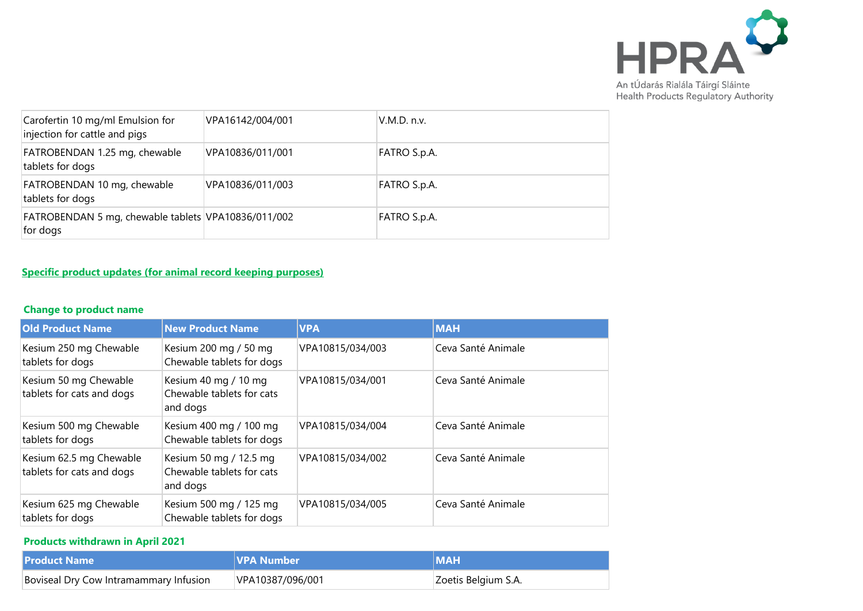

| Carofertin 10 mg/ml Emulsion for<br>injection for cattle and pigs | VPA16142/004/001 | V.M.D. n.v.  |
|-------------------------------------------------------------------|------------------|--------------|
| FATROBENDAN 1.25 mg, chewable<br>tablets for dogs                 | VPA10836/011/001 | FATRO S.p.A. |
| FATROBENDAN 10 mg, chewable<br>tablets for dogs                   | VPA10836/011/003 | FATRO S.p.A. |
| FATROBENDAN 5 mg, chewable tablets VPA10836/011/002<br>for dogs   |                  | FATRO S.p.A. |

## **Specific product updates (for animal record keeping purposes)**

## **Change to product name**

| <b>Old Product Name</b>                              | <b>New Product Name</b>                                         | <b>VPA</b>       | <b>MAH</b>         |
|------------------------------------------------------|-----------------------------------------------------------------|------------------|--------------------|
| Kesium 250 mg Chewable<br>tablets for dogs           | Kesium 200 mg / 50 mg<br>Chewable tablets for dogs              | VPA10815/034/003 | Ceva Santé Animale |
| Kesium 50 mg Chewable<br>tablets for cats and dogs   | Kesium 40 mg / 10 mg<br>Chewable tablets for cats<br>and dogs   | VPA10815/034/001 | Ceva Santé Animale |
| Kesium 500 mg Chewable<br>tablets for dogs           | Kesium 400 mg / 100 mg<br>Chewable tablets for dogs             | VPA10815/034/004 | Ceva Santé Animale |
| Kesium 62.5 mg Chewable<br>tablets for cats and dogs | Kesium 50 mg / 12.5 mg<br>Chewable tablets for cats<br>and dogs | VPA10815/034/002 | Ceva Santé Animale |
| Kesium 625 mg Chewable<br>tablets for dogs           | Kesium 500 mg / 125 mg<br>Chewable tablets for dogs             | VPA10815/034/005 | Ceva Santé Animale |

## **Products withdrawn in April 2021**

| <b>Product Name</b>                    | <b>IVPA Number</b> | <b>IMAH</b>         |
|----------------------------------------|--------------------|---------------------|
| Boviseal Dry Cow Intramammary Infusion | VPA10387/096/001   | Zoetis Belgium S.A. |